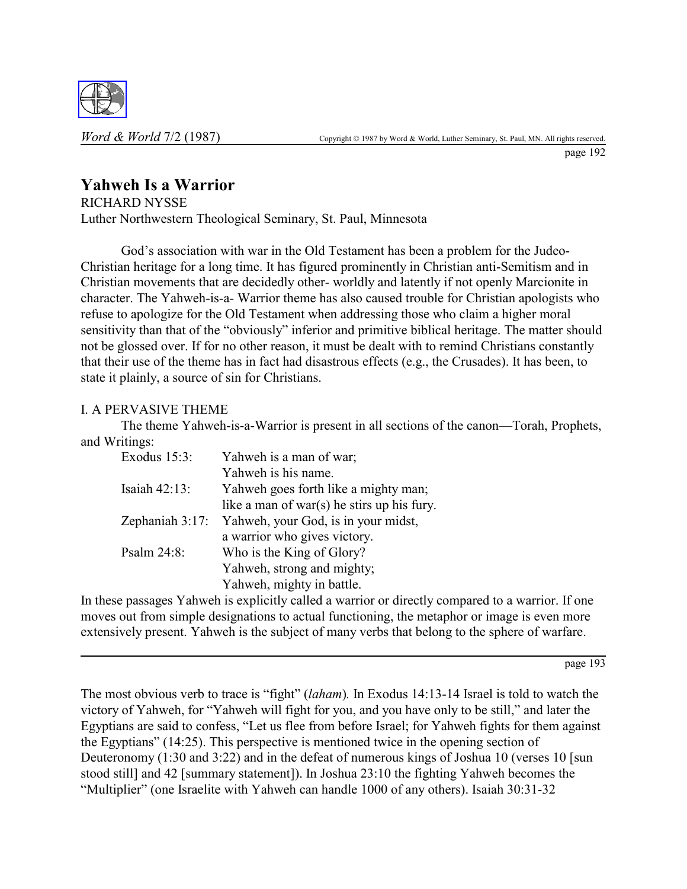

page 192

## **Yahweh Is a Warrior**

RICHARD NYSSE Luther Northwestern Theological Seminary, St. Paul, Minnesota

God's association with war in the Old Testament has been a problem for the Judeo-Christian heritage for a long time. It has figured prominently in Christian anti-Semitism and in Christian movements that are decidedly other- worldly and latently if not openly Marcionite in character. The Yahweh-is-a- Warrior theme has also caused trouble for Christian apologists who refuse to apologize for the Old Testament when addressing those who claim a higher moral sensitivity than that of the "obviously" inferior and primitive biblical heritage. The matter should not be glossed over. If for no other reason, it must be dealt with to remind Christians constantly that their use of the theme has in fact had disastrous effects (e.g., the Crusades). It has been, to state it plainly, a source of sin for Christians.

## I. A PERVASIVE THEME

The theme Yahweh-is-a-Warrior is present in all sections of the canon—Torah, Prophets, and Writings:

| Exodus $15:3$ :  | Yahweh is a man of war;                    |
|------------------|--------------------------------------------|
|                  | Yahweh is his name.                        |
| Isaiah $42:13$ : | Yahweh goes forth like a mighty man;       |
|                  | like a man of war(s) he stirs up his fury. |
| Zephaniah 3:17:  | Yahweh, your God, is in your midst,        |
|                  | a warrior who gives victory.               |
| Psalm 24:8:      | Who is the King of Glory?                  |
|                  | Yahweh, strong and mighty;                 |
|                  | Yahweh, mighty in battle.                  |

In these passages Yahweh is explicitly called a warrior or directly compared to a warrior. If one moves out from simple designations to actual functioning, the metaphor or image is even more extensively present. Yahweh is the subject of many verbs that belong to the sphere of warfare.

page 193

The most obvious verb to trace is "fight" (*laham*). In Exodus 14:13-14 Israel is told to watch the victory of Yahweh, for "Yahweh will fight for you, and you have only to be still," and later the Egyptians are said to confess, "Let us flee from before Israel; for Yahweh fights for them against the Egyptians"  $(14:25)$ . This perspective is mentioned twice in the opening section of Deuteronomy (1:30 and 3:22) and in the defeat of numerous kings of Joshua 10 (verses 10 [sun stood still] and 42 [summary statement]). In Joshua 23:10 the fighting Yahweh becomes the ìMultiplierî (one Israelite with Yahweh can handle 1000 of any others). Isaiah 30:31-32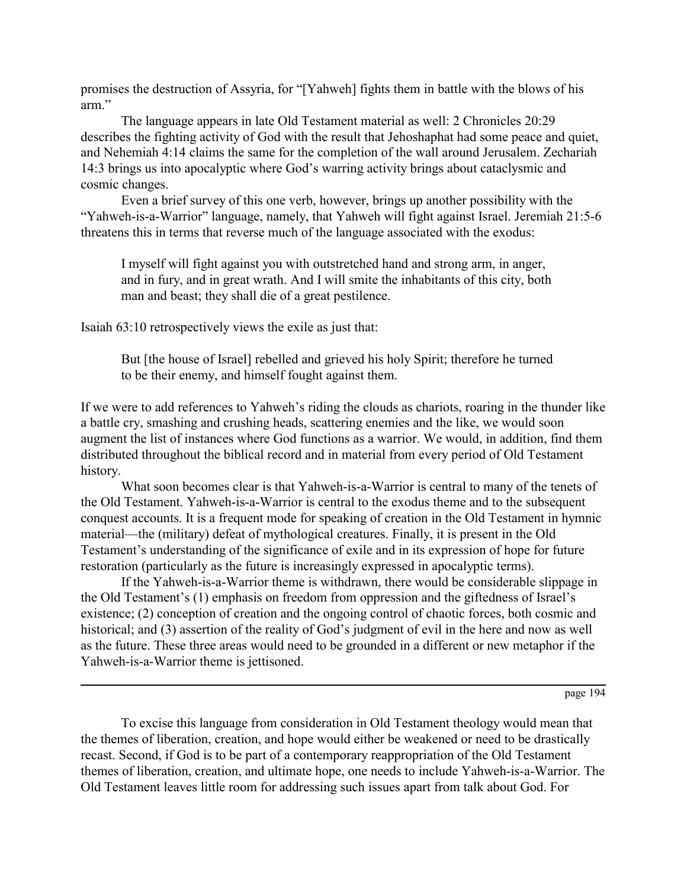promises the destruction of Assyria, for "[Yahweh] fights them in battle with the blows of his arm"

The language appears in late Old Testament material as well: 2 Chronicles 20:29 describes the fighting activity of God with the result that Jehoshaphat had some peace and quiet, and Nehemiah 4:14 claims the same for the completion of the wall around Jerusalem. Zechariah 14:3 brings us into apocalyptic where God's warring activity brings about cataclysmic and cosmic changes.

Even a brief survey of this one verb, however, brings up another possibility with the ìYahweh-is-a-Warriorî language, namely, that Yahweh will fight against Israel. Jeremiah 21:5-6 threatens this in terms that reverse much of the language associated with the exodus:

I myself will fight against you with outstretched hand and strong arm, in anger, and in fury, and in great wrath. And I will smite the inhabitants of this city, both man and beast; they shall die of a great pestilence.

Isaiah 63:10 retrospectively views the exile as just that:

But [the house of Israel] rebelled and grieved his holy Spirit; therefore he turned to be their enemy, and himself fought against them.

If we were to add references to Yahweh's riding the clouds as chariots, roaring in the thunder like a battle cry, smashing and crushing heads, scattering enemies and the like, we would soon augment the list of instances where God functions as a warrior. We would, in addition, find them distributed throughout the biblical record and in material from every period of Old Testament history.

What soon becomes clear is that Yahweh-is-a-Warrior is central to many of the tenets of the Old Testament. Yahweh-is-a-Warrior is central to the exodus theme and to the subsequent conquest accounts. It is a frequent mode for speaking of creation in the Old Testament in hymnic material—the (military) defeat of mythological creatures. Finally, it is present in the Old Testament's understanding of the significance of exile and in its expression of hope for future restoration (particularly as the future is increasingly expressed in apocalyptic terms).

If the Yahweh-is-a-Warrior theme is withdrawn, there would be considerable slippage in the Old Testament's (1) emphasis on freedom from oppression and the giftedness of Israel's existence; (2) conception of creation and the ongoing control of chaotic forces, both cosmic and historical; and (3) assertion of the reality of God's judgment of evil in the here and now as well as the future. These three areas would need to be grounded in a different or new metaphor if the Yahweh-is-a-Warrior theme is jettisoned.

page 194

To excise this language from consideration in Old Testament theology would mean that the themes of liberation, creation, and hope would either be weakened or need to be drastically recast. Second, if God is to be part of a contemporary reappropriation of the Old Testament themes of liberation, creation, and ultimate hope, one needs to include Yahweh-is-a-Warrior. The Old Testament leaves little room for addressing such issues apart from talk about God. For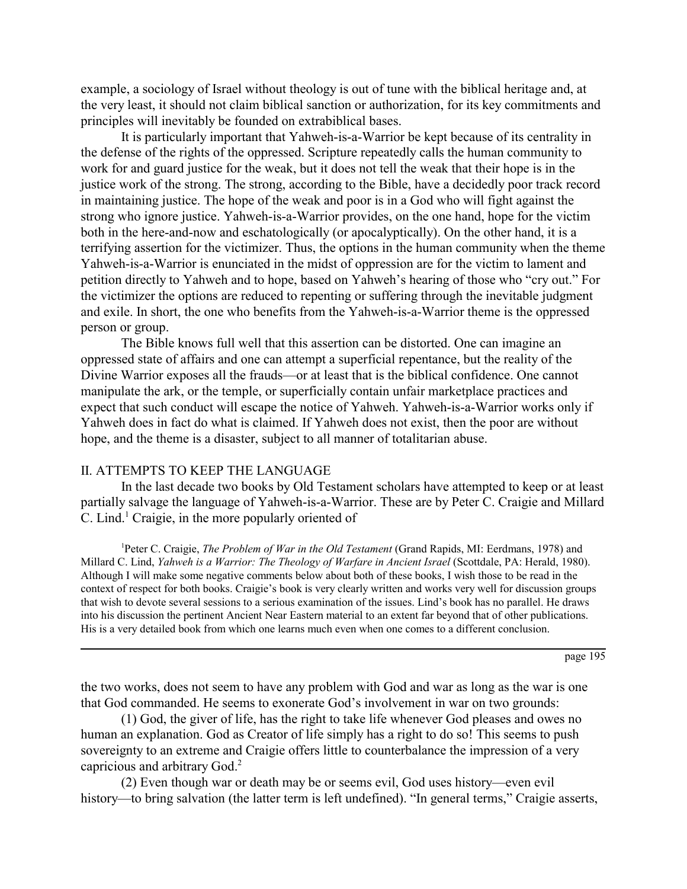example, a sociology of Israel without theology is out of tune with the biblical heritage and, at the very least, it should not claim biblical sanction or authorization, for its key commitments and principles will inevitably be founded on extrabiblical bases.

It is particularly important that Yahweh-is-a-Warrior be kept because of its centrality in the defense of the rights of the oppressed. Scripture repeatedly calls the human community to work for and guard justice for the weak, but it does not tell the weak that their hope is in the justice work of the strong. The strong, according to the Bible, have a decidedly poor track record in maintaining justice. The hope of the weak and poor is in a God who will fight against the strong who ignore justice. Yahweh-is-a-Warrior provides, on the one hand, hope for the victim both in the here-and-now and eschatologically (or apocalyptically). On the other hand, it is a terrifying assertion for the victimizer. Thus, the options in the human community when the theme Yahweh-is-a-Warrior is enunciated in the midst of oppression are for the victim to lament and petition directly to Yahweh and to hope, based on Yahweh's hearing of those who "cry out." For the victimizer the options are reduced to repenting or suffering through the inevitable judgment and exile. In short, the one who benefits from the Yahweh-is-a-Warrior theme is the oppressed person or group.

The Bible knows full well that this assertion can be distorted. One can imagine an oppressed state of affairs and one can attempt a superficial repentance, but the reality of the Divine Warrior exposes all the frauds—or at least that is the biblical confidence. One cannot manipulate the ark, or the temple, or superficially contain unfair marketplace practices and expect that such conduct will escape the notice of Yahweh. Yahweh-is-a-Warrior works only if Yahweh does in fact do what is claimed. If Yahweh does not exist, then the poor are without hope, and the theme is a disaster, subject to all manner of totalitarian abuse.

## II. ATTEMPTS TO KEEP THE LANGUAGE

In the last decade two books by Old Testament scholars have attempted to keep or at least partially salvage the language of Yahweh-is-a-Warrior. These are by Peter C. Craigie and Millard C. Lind.<sup>1</sup> Craigie, in the more popularly oriented of

<sup>1</sup>Peter C. Craigie, *The Problem of War in the Old Testament* (Grand Rapids, MI: Eerdmans, 1978) and Millard C. Lind, *Yahweh is a Warrior: The Theology of Warfare in Ancient Israel* (Scottdale, PA: Herald, 1980). Although I will make some negative comments below about both of these books, I wish those to be read in the context of respect for both books. Craigie's book is very clearly written and works very well for discussion groups that wish to devote several sessions to a serious examination of the issues. Lindís book has no parallel. He draws into his discussion the pertinent Ancient Near Eastern material to an extent far beyond that of other publications. His is a very detailed book from which one learns much even when one comes to a different conclusion.

page 195

the two works, does not seem to have any problem with God and war as long as the war is one that God commanded. He seems to exonerate God's involvement in war on two grounds:

(1) God, the giver of life, has the right to take life whenever God pleases and owes no human an explanation. God as Creator of life simply has a right to do so! This seems to push sovereignty to an extreme and Craigie offers little to counterbalance the impression of a very capricious and arbitrary God.<sup>2</sup>

 $(2)$  Even though war or death may be or seems evil, God uses history—even evil history—to bring salvation (the latter term is left undefined). "In general terms," Craigie asserts,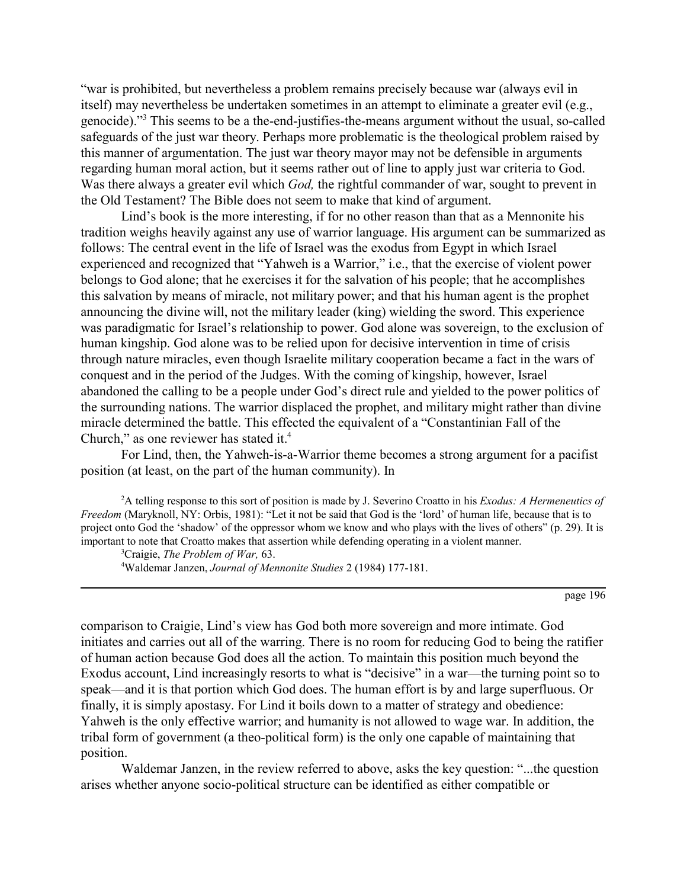ìwar is prohibited, but nevertheless a problem remains precisely because war (always evil in itself) may nevertheless be undertaken sometimes in an attempt to eliminate a greater evil (e.g., genocide)."<sup>3</sup> This seems to be a the-end-justifies-the-means argument without the usual, so-called safeguards of the just war theory. Perhaps more problematic is the theological problem raised by this manner of argumentation. The just war theory mayor may not be defensible in arguments regarding human moral action, but it seems rather out of line to apply just war criteria to God. Was there always a greater evil which *God,* the rightful commander of war, sought to prevent in the Old Testament? The Bible does not seem to make that kind of argument.

Lind's book is the more interesting, if for no other reason than that as a Mennonite his tradition weighs heavily against any use of warrior language. His argument can be summarized as follows: The central event in the life of Israel was the exodus from Egypt in which Israel experienced and recognized that "Yahweh is a Warrior," i.e., that the exercise of violent power belongs to God alone; that he exercises it for the salvation of his people; that he accomplishes this salvation by means of miracle, not military power; and that his human agent is the prophet announcing the divine will, not the military leader (king) wielding the sword. This experience was paradigmatic for Israel's relationship to power. God alone was sovereign, to the exclusion of human kingship. God alone was to be relied upon for decisive intervention in time of crisis through nature miracles, even though Israelite military cooperation became a fact in the wars of conquest and in the period of the Judges. With the coming of kingship, however, Israel abandoned the calling to be a people under God's direct rule and yielded to the power politics of the surrounding nations. The warrior displaced the prophet, and military might rather than divine miracle determined the battle. This effected the equivalent of a "Constantinian Fall of the Church," as one reviewer has stated it. $4$ 

For Lind, then, the Yahweh-is-a-Warrior theme becomes a strong argument for a pacifist position (at least, on the part of the human community). In

2 A telling response to this sort of position is made by J. Severino Croatto in his *Exodus: A Hermeneutics of Freedom* (Maryknoll, NY: Orbis, 1981): "Let it not be said that God is the 'lord' of human life, because that is to project onto God the 'shadow' of the oppressor whom we know and who plays with the lives of others" (p. 29). It is important to note that Croatto makes that assertion while defending operating in a violent manner.

3 Craigie, *The Problem of War,* 63.

4 Waldemar Janzen, *Journal of Mennonite Studies* 2 (1984) 177-181.

page 196

comparison to Craigie, Lindís view has God both more sovereign and more intimate. God initiates and carries out all of the warring. There is no room for reducing God to being the ratifier of human action because God does all the action. To maintain this position much beyond the Exodus account, Lind increasingly resorts to what is "decisive" in a war—the turning point so to speak—and it is that portion which God does. The human effort is by and large superfluous. Or finally, it is simply apostasy. For Lind it boils down to a matter of strategy and obedience: Yahweh is the only effective warrior; and humanity is not allowed to wage war. In addition, the tribal form of government (a theo-political form) is the only one capable of maintaining that position.

Waldemar Janzen, in the review referred to above, asks the key question: "...the question arises whether anyone socio-political structure can be identified as either compatible or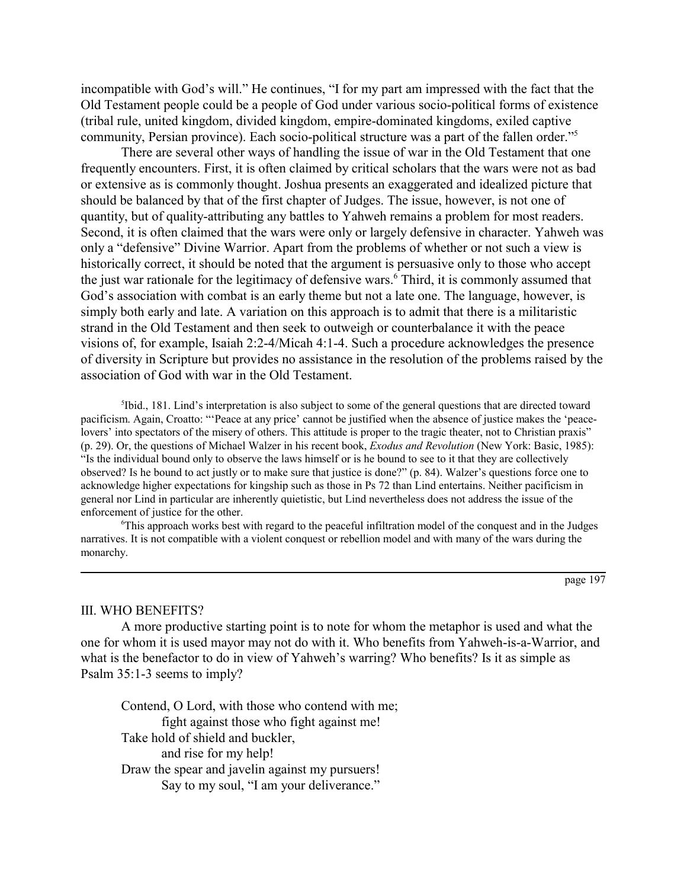incompatible with God's will." He continues, "I for my part am impressed with the fact that the Old Testament people could be a people of God under various socio-political forms of existence (tribal rule, united kingdom, divided kingdom, empire-dominated kingdoms, exiled captive community, Persian province). Each socio-political structure was a part of the fallen order.<sup>75</sup>

There are several other ways of handling the issue of war in the Old Testament that one frequently encounters. First, it is often claimed by critical scholars that the wars were not as bad or extensive as is commonly thought. Joshua presents an exaggerated and idealized picture that should be balanced by that of the first chapter of Judges. The issue, however, is not one of quantity, but of quality-attributing any battles to Yahweh remains a problem for most readers. Second, it is often claimed that the wars were only or largely defensive in character. Yahweh was only a "defensive" Divine Warrior. Apart from the problems of whether or not such a view is historically correct, it should be noted that the argument is persuasive only to those who accept the just war rationale for the legitimacy of defensive wars.<sup>6</sup> Third, it is commonly assumed that God's association with combat is an early theme but not a late one. The language, however, is simply both early and late. A variation on this approach is to admit that there is a militaristic strand in the Old Testament and then seek to outweigh or counterbalance it with the peace visions of, for example, Isaiah 2:2-4/Micah 4:1-4. Such a procedure acknowledges the presence of diversity in Scripture but provides no assistance in the resolution of the problems raised by the association of God with war in the Old Testament.

<sup>5</sup>Ibid., 181. Lind's interpretation is also subject to some of the general questions that are directed toward pacificism. Again, Croatto: "Peace at any price' cannot be justified when the absence of justice makes the 'peacelovers' into spectators of the misery of others. This attitude is proper to the tragic theater, not to Christian praxis" (p. 29). Or, the questions of Michael Walzer in his recent book, *Exodus and Revolution* (New York: Basic, 1985): "Is the individual bound only to observe the laws himself or is he bound to see to it that they are collectively observed? Is he bound to act justly or to make sure that justice is done?" (p. 84). Walzer's questions force one to acknowledge higher expectations for kingship such as those in Ps 72 than Lind entertains. Neither pacificism in general nor Lind in particular are inherently quietistic, but Lind nevertheless does not address the issue of the enforcement of justice for the other.

6 This approach works best with regard to the peaceful infiltration model of the conquest and in the Judges narratives. It is not compatible with a violent conquest or rebellion model and with many of the wars during the monarchy.

page 197

## III. WHO BENEFITS?

A more productive starting point is to note for whom the metaphor is used and what the one for whom it is used mayor may not do with it. Who benefits from Yahweh-is-a-Warrior, and what is the benefactor to do in view of Yahweh's warring? Who benefits? Is it as simple as Psalm 35:1-3 seems to imply?

Contend, O Lord, with those who contend with me; fight against those who fight against me! Take hold of shield and buckler, and rise for my help! Draw the spear and javelin against my pursuers! Say to my soul, "I am your deliverance."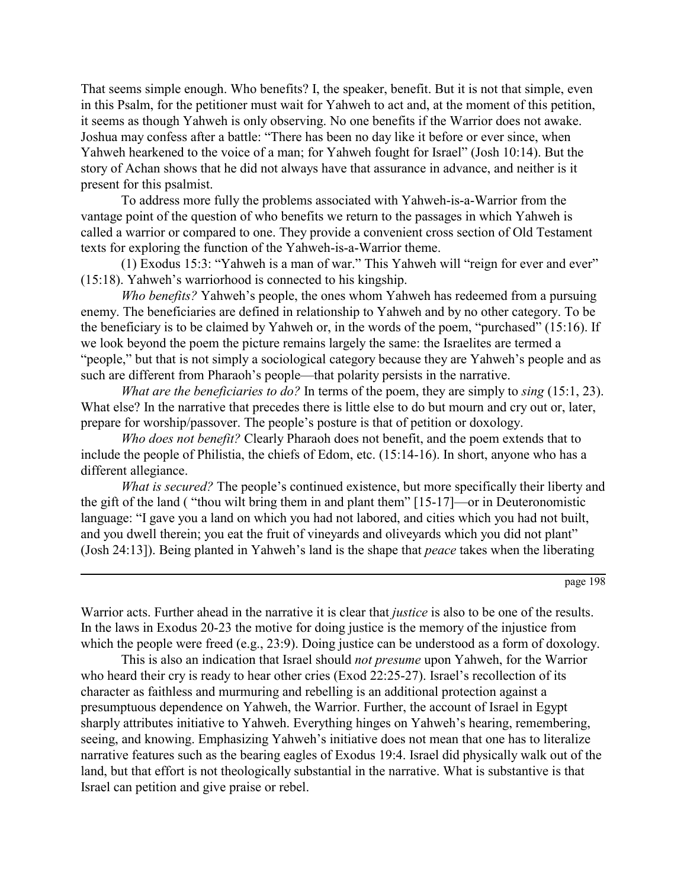That seems simple enough. Who benefits? I, the speaker, benefit. But it is not that simple, even in this Psalm, for the petitioner must wait for Yahweh to act and, at the moment of this petition, it seems as though Yahweh is only observing. No one benefits if the Warrior does not awake. Joshua may confess after a battle: "There has been no day like it before or ever since, when Yahweh hearkened to the voice of a man; for Yahweh fought for Israel" (Josh 10:14). But the story of Achan shows that he did not always have that assurance in advance, and neither is it present for this psalmist.

To address more fully the problems associated with Yahweh-is-a-Warrior from the vantage point of the question of who benefits we return to the passages in which Yahweh is called a warrior or compared to one. They provide a convenient cross section of Old Testament texts for exploring the function of the Yahweh-is-a-Warrior theme.

 $(1)$  Exodus 15:3: "Yahweh is a man of war." This Yahweh will "reign for ever and ever"  $(15:18)$ . Yahweh's warriorhood is connected to his kingship.

*Who benefits?* Yahweh's people, the ones whom Yahweh has redeemed from a pursuing enemy. The beneficiaries are defined in relationship to Yahweh and by no other category. To be the beneficiary is to be claimed by Yahweh or, in the words of the poem, "purchased"  $(15:16)$ . If we look beyond the poem the picture remains largely the same: the Israelites are termed a "people," but that is not simply a sociological category because they are Yahweh's people and as such are different from Pharaoh's people—that polarity persists in the narrative.

*What are the beneficiaries to do?* In terms of the poem, they are simply to *sing* (15:1, 23). What else? In the narrative that precedes there is little else to do but mourn and cry out or, later, prepare for worship/passover. The people's posture is that of petition or doxology.

*Who does not benefit?* Clearly Pharaoh does not benefit, and the poem extends that to include the people of Philistia, the chiefs of Edom, etc. (15:14-16). In short, anyone who has a different allegiance.

*What is secured?* The people's continued existence, but more specifically their liberty and the gift of the land ("thou wilt bring them in and plant them"  $[15-17]$ —or in Deuteronomistic language: "I gave you a land on which you had not labored, and cities which you had not built, and you dwell therein; you eat the fruit of vineyards and oliveyards which you did not plant" (Josh 24:13]). Being planted in Yahweh's land is the shape that *peace* takes when the liberating

page 198

Warrior acts. Further ahead in the narrative it is clear that *justice* is also to be one of the results. In the laws in Exodus 20-23 the motive for doing justice is the memory of the injustice from which the people were freed (e.g., 23:9). Doing justice can be understood as a form of doxology.

This is also an indication that Israel should *not presume* upon Yahweh, for the Warrior who heard their cry is ready to hear other cries (Exod  $22:25-27$ ). Israel's recollection of its character as faithless and murmuring and rebelling is an additional protection against a presumptuous dependence on Yahweh, the Warrior. Further, the account of Israel in Egypt sharply attributes initiative to Yahweh. Everything hinges on Yahweh's hearing, remembering, seeing, and knowing. Emphasizing Yahweh's initiative does not mean that one has to literalize narrative features such as the bearing eagles of Exodus 19:4. Israel did physically walk out of the land, but that effort is not theologically substantial in the narrative. What is substantive is that Israel can petition and give praise or rebel.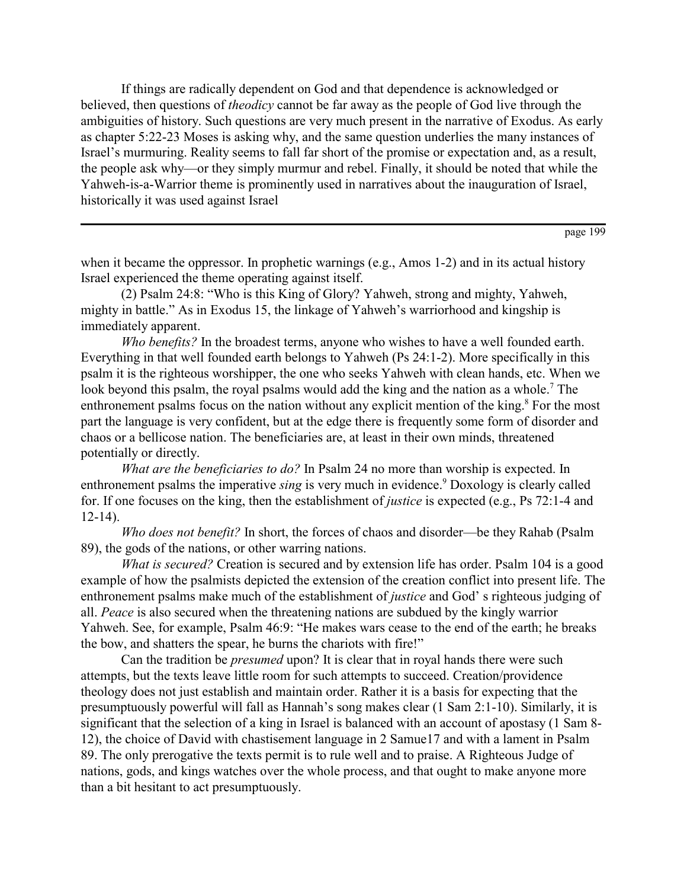If things are radically dependent on God and that dependence is acknowledged or believed, then questions of *theodicy* cannot be far away as the people of God live through the ambiguities of history. Such questions are very much present in the narrative of Exodus. As early as chapter 5:22-23 Moses is asking why, and the same question underlies the many instances of Israel's murmuring. Reality seems to fall far short of the promise or expectation and, as a result, the people ask why—or they simply murmur and rebel. Finally, it should be noted that while the Yahweh-is-a-Warrior theme is prominently used in narratives about the inauguration of Israel, historically it was used against Israel

page 199

when it became the oppressor. In prophetic warnings (e.g., Amos 1-2) and in its actual history Israel experienced the theme operating against itself.

(2) Psalm  $24:8$ : "Who is this King of Glory? Yahweh, strong and mighty, Yahweh, mighty in battle." As in Exodus 15, the linkage of Yahweh's warriorhood and kingship is immediately apparent.

*Who benefits?* In the broadest terms, anyone who wishes to have a well founded earth. Everything in that well founded earth belongs to Yahweh (Ps 24:1-2). More specifically in this psalm it is the righteous worshipper, the one who seeks Yahweh with clean hands, etc. When we look beyond this psalm, the royal psalms would add the king and the nation as a whole.<sup>7</sup> The enthronement psalms focus on the nation without any explicit mention of the king.<sup>8</sup> For the most part the language is very confident, but at the edge there is frequently some form of disorder and chaos or a bellicose nation. The beneficiaries are, at least in their own minds, threatened potentially or directly.

*What are the beneficiaries to do?* In Psalm 24 no more than worship is expected. In enthronement psalms the imperative *sing* is very much in evidence.<sup>9</sup> Doxology is clearly called for. If one focuses on the king, then the establishment of *justice* is expected (e.g., Ps 72:1-4 and  $12-14$ ).

*Who does not benefit?* In short, the forces of chaos and disorder—be they Rahab (Psalm 89), the gods of the nations, or other warring nations.

*What is secured?* Creation is secured and by extension life has order. Psalm 104 is a good example of how the psalmists depicted the extension of the creation conflict into present life. The enthronement psalms make much of the establishment of *justice* and God's righteous judging of all. *Peace* is also secured when the threatening nations are subdued by the kingly warrior Yahweh. See, for example, Psalm 46:9: "He makes wars cease to the end of the earth; he breaks the bow, and shatters the spear, he burns the chariots with fire!"

Can the tradition be *presumed* upon? It is clear that in royal hands there were such attempts, but the texts leave little room for such attempts to succeed. Creation/providence theology does not just establish and maintain order. Rather it is a basis for expecting that the presumptuously powerful will fall as Hannah's song makes clear (1 Sam 2:1-10). Similarly, it is significant that the selection of a king in Israel is balanced with an account of apostasy (1 Sam 8- 12), the choice of David with chastisement language in 2 Samue17 and with a lament in Psalm 89. The only prerogative the texts permit is to rule well and to praise. A Righteous Judge of nations, gods, and kings watches over the whole process, and that ought to make anyone more than a bit hesitant to act presumptuously.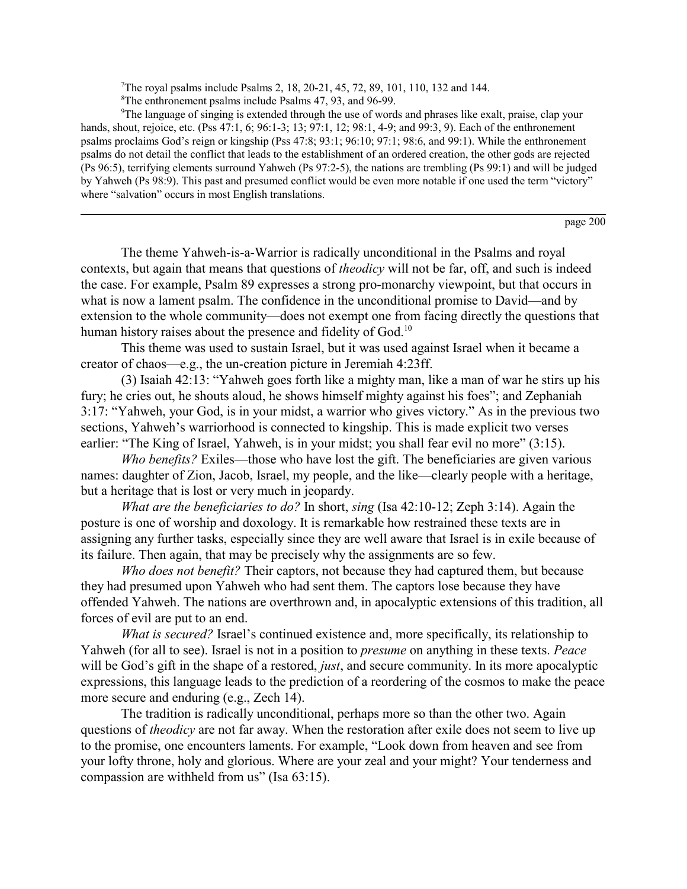7 The royal psalms include Psalms 2, 18, 20-21, 45, 72, 89, 101, 110, 132 and 144.

<sup>8</sup>The enthronement psalms include Psalms 47, 93, and 96-99.

9 The language of singing is extended through the use of words and phrases like exalt, praise, clap your hands, shout, rejoice, etc. (Pss 47:1, 6; 96:1-3; 13; 97:1, 12; 98:1, 4-9; and 99:3, 9). Each of the enthronement psalms proclaims God's reign or kingship (Pss 47:8; 93:1; 96:10; 97:1; 98:6, and 99:1). While the enthronement psalms do not detail the conflict that leads to the establishment of an ordered creation, the other gods are rejected (Ps 96:5), terrifying elements surround Yahweh (Ps 97:2-5), the nations are trembling (Ps 99:1) and will be judged by Yahweh (Ps 98:9). This past and presumed conflict would be even more notable if one used the term "victory" where "salvation" occurs in most English translations.

page 200

The theme Yahweh-is-a-Warrior is radically unconditional in the Psalms and royal contexts, but again that means that questions of *theodicy* will not be far, off, and such is indeed the case. For example, Psalm 89 expresses a strong pro-monarchy viewpoint, but that occurs in what is now a lament psalm. The confidence in the unconditional promise to David—and by extension to the whole community—does not exempt one from facing directly the questions that human history raises about the presence and fidelity of God.<sup>10</sup>

This theme was used to sustain Israel, but it was used against Israel when it became a creator of chaos—e.g., the un-creation picture in Jeremiah 4:23ff.

 $(3)$  Isaiah 42:13: "Yahweh goes forth like a mighty man, like a man of war he stirs up his fury; he cries out, he shouts aloud, he shows himself mighty against his foes"; and Zephaniah  $3:17:$  "Yahweh, your God, is in your midst, a warrior who gives victory." As in the previous two sections, Yahweh's warriorhood is connected to kingship. This is made explicit two verses earlier: "The King of Israel, Yahweh, is in your midst; you shall fear evil no more"  $(3:15)$ .

*Who benefits?* Exiles—those who have lost the gift. The beneficiaries are given various names: daughter of Zion, Jacob, Israel, my people, and the like—clearly people with a heritage, but a heritage that is lost or very much in jeopardy.

*What are the beneficiaries to do?* In short, *sing* (Isa 42:10-12; Zeph 3:14). Again the posture is one of worship and doxology. It is remarkable how restrained these texts are in assigning any further tasks, especially since they are well aware that Israel is in exile because of its failure. Then again, that may be precisely why the assignments are so few.

*Who does not benefit?* Their captors, not because they had captured them, but because they had presumed upon Yahweh who had sent them. The captors lose because they have offended Yahweh. The nations are overthrown and, in apocalyptic extensions of this tradition, all forces of evil are put to an end.

*What is secured?* Israel's continued existence and, more specifically, its relationship to Yahweh (for all to see). Israel is not in a position to *presume* on anything in these texts. *Peace* will be God's gift in the shape of a restored, *just*, and secure community. In its more apocalyptic expressions, this language leads to the prediction of a reordering of the cosmos to make the peace more secure and enduring (e.g., Zech 14).

The tradition is radically unconditional, perhaps more so than the other two. Again questions of *theodicy* are not far away. When the restoration after exile does not seem to live up to the promise, one encounters laments. For example, "Look down from heaven and see from your lofty throne, holy and glorious. Where are your zeal and your might? Your tenderness and compassion are withheld from us" (Isa  $63:15$ ).